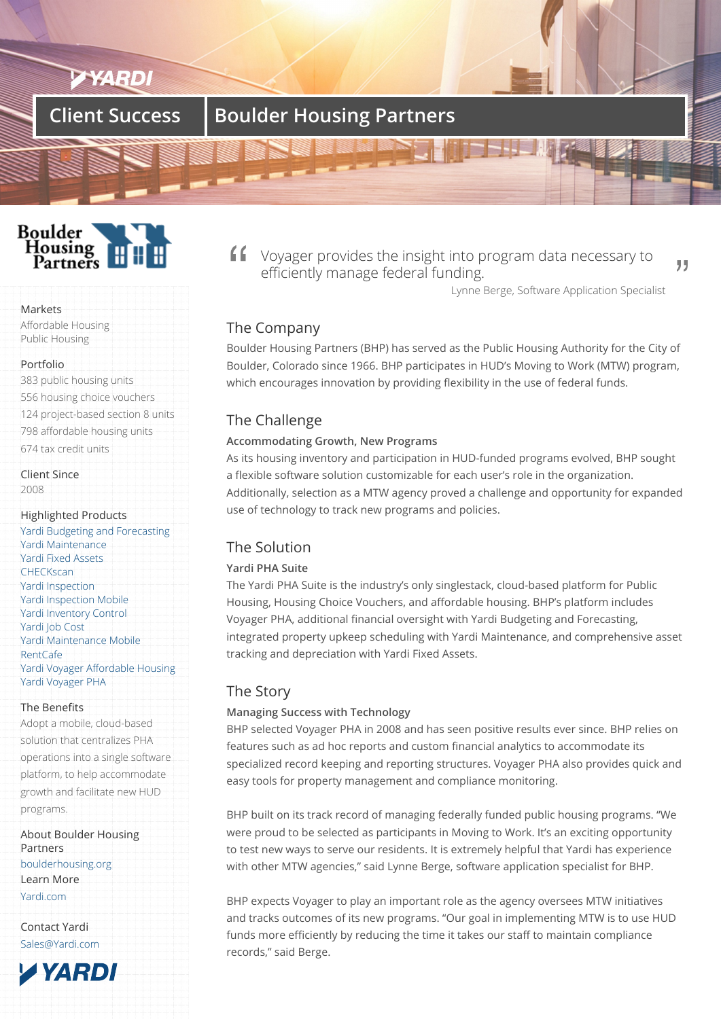## **Client Success | Boulder Housing Partners**

### **Boulder** Housing Partners

#### Markets

Affordable Housing Public Housing

#### Portfolio

383 public housing units 556 housing choice vouchers 124 project-based section 8 units 798 affordable housing units 674 tax credit units

Client Since 2008

#### Highlighted Products

Yardi Budgeting and Forecasting Yardi Maintenance Yardi Fixed Assets **CHECKscan** [Yardi Inspection](/products/budgeting-and-forecasting) [Yardi Inspection Mo](/products/yardi-maintenance/)bile [Yardi Inventory Co](/products/yardi-fixed-assets)ntrol [Yardi Job Co](/products/yardi-checkscan)st [Yardi Maintenan](/products/yardi-inspections)ce Mobile [RentCafe](/products/yardi-inspections) [Yardi Voyager Affordabl](/products/yardi-inventory-control)e Housing [Yardi Voyager](/products/voyager-for-construction/) PHA

#### [The Ben](/products/rentcafe/)[efits](/products/yardi-maintenance)

[Adopt a mobile, cloud-based](/products/voyager-for-affordable-housing/) [solution that centra](/products/voyager-for-public-housing/)lizes PHA operations into a single software platform, to help accommodate growth and facilitate new HUD programs.

About Boulder Housing Partners boulderhousing.org Learn More Yardi.com

[Contact Yardi](http://boulderhousing.org) Sales@Yardi.com

**AYARDI** 

Voyager provides the insight into program data necessary to efficiently manage federal funding.

Lynne Berge, Software Application Specialist

99

#### The Company

Boulder Housing Partners (BHP) has served as the Public Housing Authority for the City of Boulder, Colorado since 1966. BHP participates in HUD's Moving to Work (MTW) program, which encourages innovation by providing flexibility in the use of federal funds.

#### The Challenge

#### **Accommodating Growth, New Programs**

As its housing inventory and participation in HUD-funded programs evolved, BHP sought a flexible software solution customizable for each user's role in the organization. Additionally, selection as a MTW agency proved a challenge and opportunity for expanded use of technology to track new programs and policies.

#### The Solution

#### **Yardi PHA Suite**

The Yardi PHA Suite is the industry's only singlestack, cloud-based platform for Public Housing, Housing Choice Vouchers, and affordable housing. BHP's platform includes Voyager PHA, additional financial oversight with Yardi Budgeting and Forecasting, integrated property upkeep scheduling with Yardi Maintenance, and comprehensive asset tracking and depreciation with Yardi Fixed Assets.

#### The Story

#### **Managing Success with Technology**

BHP selected Voyager PHA in 2008 and has seen positive results ever since. BHP relies on features such as ad hoc reports and custom financial analytics to accommodate its specialized record keeping and reporting structures. Voyager PHA also provides quick and easy tools for property management and compliance monitoring.

BHP built on its track record of managing federally funded public housing programs. "We were proud to be selected as participants in Moving to Work. It's an exciting opportunity to test new ways to serve our residents. It is extremely helpful that Yardi has experience with other MTW agencies," said Lynne Berge, software application specialist for BHP.

BHP expects Voyager to play an important role as the agency oversees MTW initiatives and tracks outcomes of its new programs. "Our goal in implementing MTW is to use HUD funds more efficiently by reducing the time it takes our staff to maintain compliance records," said Berge.